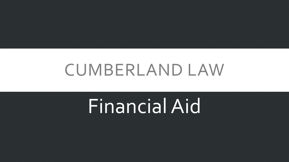## CUMBERLAND LAW

# Financial Aid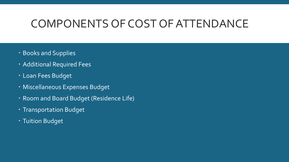### COMPONENTS OF COST OF ATTENDANCE

- **Books and Supplies**
- Additional Required Fees
- Loan Fees Budget
- Miscellaneous Expenses Budget
- Room and Board Budget (Residence Life)
- Transportation Budget
- **Tuition Budget**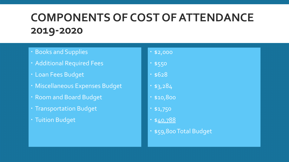### **COMPONENTS OF COST OF ATTENDANCE 2019-2020**

- Books and Supplies
- Additional Required Fees
- Loan Fees Budget
- Miscellaneous Expenses Budget
- Room and Board Budget
- Transportation Budget
- Tuition Budget
- $*52,000$
- \* \$550
- \$628
- $*$  \$3,284
- \$10,800
- \$1,750
- $540,788$
- \$59,800 Total Budget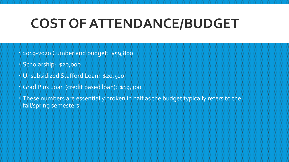### **COST OF ATTENDANCE/BUDGET**

- 2019-2020 Cumberland budget: \$59,800
- Scholarship: \$20,000
- Unsubsidized Stafford Loan: \$20,500
- Grad Plus Loan (credit based loan): \$19,300
- These numbers are essentially broken in half as the budget typically refers to the fall/spring semesters.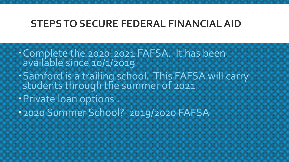#### **STEPS TO SECURE FEDERAL FINANCIAL AID**

- Complete the 2020-2021 FAFSA. It has been available since 10/1/2019
- Samford is a trailing school. This FAFSA will carry students through the summer of 2021
- Private loan options .
- 2020 Summer School? 2019/2020 FAFSA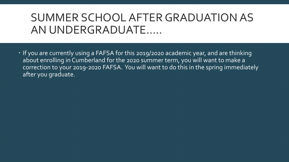### SUMMER SCHOOL AFTER GRADUATION AS AN UNDERGRADUATE…..

 If you are currently using a FAFSA for this 2019/2020 academic year, and are thinking about enrolling in Cumberland for the 2020 summer term, you will want to make a correction to your 2019-2020 FAFSA. You will want to do this in the spring immediately after you graduate.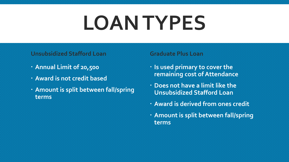# **LOAN TYPES**

#### **Unsubsidized Stafford Loan**

- **Annual Limit of 20,500**
- **Award is not credit based**
- **Amount is split between fall/spring terms**

#### **Graduate Plus Loan**

- **Is used primary to cover the remaining cost of Attendance**
- **Does not have a limit like the Unsubsidized Stafford Loan**
- **Award is derived from ones credit**
- **Amount is split between fall/spring terms**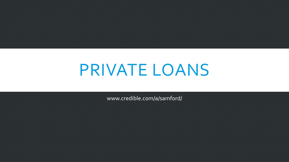## PRIVATE LOANS

www.credible.com/a/samford/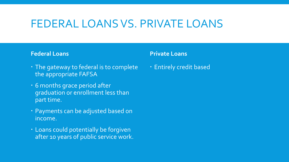### FEDERAL LOANS VS. PRIVATE LOANS

#### **Federal Loans**

#### **Private Loans**

- The gateway to federal is to complete the appropriate FAFSA
- 6 months grace period after graduation or enrollment less than part time.
- · Payments can be adjusted based on income.
- Loans could potentially be forgiven after 10 years of public service work.

Entirely credit based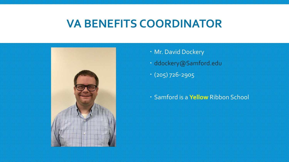### **VA BENEFITS COORDINATOR**



 Mr. David Dockery ddockery@Samford.edu (205) 726-2905

Samford is a **Yellow** Ribbon School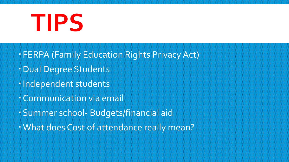# **TIPS**

- FERPA (Family Education Rights Privacy Act)
- Dual Degree Students
- · Independent students
- Communication via email
- Summer school- Budgets/financial aid
- What does Cost of attendance really mean?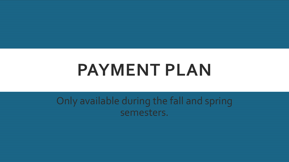## **PAYMENT PLAN**

Only available during the fall and spring semesters.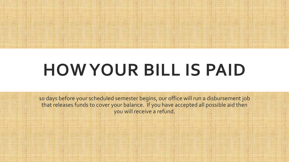

# **HOW YOUR BILL IS PAID**

10 days before your scheduled semester begins, our office will run a disbursement job that releases funds to cover your balance. If you have accepted all possible aid then you will receive a refund.